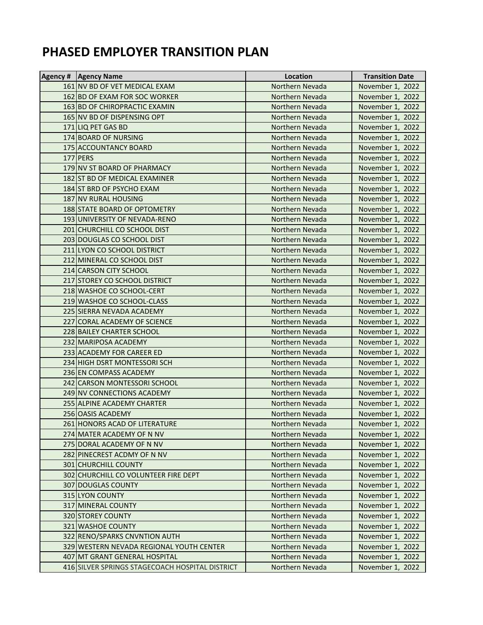## **PHASED EMPLOYER TRANSITION PLAN**

| Agency # Agency Name                            | Location        | <b>Transition Date</b> |
|-------------------------------------------------|-----------------|------------------------|
| 161 NV BD OF VET MEDICAL EXAM                   | Northern Nevada | November 1, 2022       |
| 162 BD OF EXAM FOR SOC WORKER                   | Northern Nevada | November 1, 2022       |
| 163 BD OF CHIROPRACTIC EXAMIN                   | Northern Nevada | November 1, 2022       |
| 165 NV BD OF DISPENSING OPT                     | Northern Nevada | November 1, 2022       |
| 171 LIQ PET GAS BD                              | Northern Nevada | November 1, 2022       |
| 174 BOARD OF NURSING                            | Northern Nevada | November 1, 2022       |
| 175 ACCOUNTANCY BOARD                           | Northern Nevada | November 1, 2022       |
| 177 PERS                                        | Northern Nevada | November 1, 2022       |
| 179 NV ST BOARD OF PHARMACY                     | Northern Nevada | November 1, 2022       |
| 182 ST BD OF MEDICAL EXAMINER                   | Northern Nevada | November 1, 2022       |
| 184 ST BRD OF PSYCHO EXAM                       | Northern Nevada | November 1, 2022       |
| 187 NV RURAL HOUSING                            | Northern Nevada | November 1, 2022       |
| 188 STATE BOARD OF OPTOMETRY                    | Northern Nevada | November 1, 2022       |
| 193 UNIVERSITY OF NEVADA-RENO                   | Northern Nevada | November 1, 2022       |
| 201 CHURCHILL CO SCHOOL DIST                    | Northern Nevada | November 1, 2022       |
| 203 DOUGLAS CO SCHOOL DIST                      | Northern Nevada | November 1, 2022       |
| 211 LYON CO SCHOOL DISTRICT                     | Northern Nevada | November 1, 2022       |
| 212 MINERAL CO SCHOOL DIST                      | Northern Nevada | November 1, 2022       |
| 214 CARSON CITY SCHOOL                          | Northern Nevada | November 1, 2022       |
| 217 STOREY CO SCHOOL DISTRICT                   | Northern Nevada | November 1, 2022       |
| 218 WASHOE CO SCHOOL-CERT                       | Northern Nevada | November 1, 2022       |
| 219 WASHOE CO SCHOOL-CLASS                      | Northern Nevada | November 1, 2022       |
| 225 SIERRA NEVADA ACADEMY                       | Northern Nevada | November 1, 2022       |
| 227 CORAL ACADEMY OF SCIENCE                    | Northern Nevada | November 1, 2022       |
| 228 BAILEY CHARTER SCHOOL                       | Northern Nevada | November 1, 2022       |
| 232 MARIPOSA ACADEMY                            | Northern Nevada | November 1, 2022       |
| 233 ACADEMY FOR CAREER ED                       | Northern Nevada | November 1, 2022       |
| 234 HIGH DSRT MONTESSORI SCH                    | Northern Nevada | November 1, 2022       |
| 236 EN COMPASS ACADEMY                          | Northern Nevada | November 1, 2022       |
| 242 CARSON MONTESSORI SCHOOL                    | Northern Nevada | November 1, 2022       |
| 249 NV CONNECTIONS ACADEMY                      | Northern Nevada | November 1, 2022       |
| 255 ALPINE ACADEMY CHARTER                      | Northern Nevada | November 1, 2022       |
| 256 OASIS ACADEMY                               | Northern Nevada | November 1, 2022       |
| 261 HONORS ACAD OF LITERATURE                   | Northern Nevada | November 1, 2022       |
| 274 MATER ACADEMY OF N NV                       | Northern Nevada | November 1, 2022       |
| 275 DORAL ACADEMY OF N NV                       | Northern Nevada | November 1, 2022       |
| 282 PINECREST ACDMY OF N NV                     | Northern Nevada | November 1, 2022       |
| 301 CHURCHILL COUNTY                            | Northern Nevada | November 1, 2022       |
| 302 CHURCHILL CO VOLUNTEER FIRE DEPT            | Northern Nevada | November 1, 2022       |
| 307 DOUGLAS COUNTY                              | Northern Nevada | November 1, 2022       |
| 315 LYON COUNTY                                 | Northern Nevada | November 1, 2022       |
| 317 MINERAL COUNTY                              | Northern Nevada | November 1, 2022       |
| 320 STOREY COUNTY                               | Northern Nevada | November 1, 2022       |
| 321 WASHOE COUNTY                               | Northern Nevada | November 1, 2022       |
| 322 RENO/SPARKS CNVNTION AUTH                   | Northern Nevada | November 1, 2022       |
| 329 WESTERN NEVADA REGIONAL YOUTH CENTER        | Northern Nevada | November 1, 2022       |
| 407 MT GRANT GENERAL HOSPITAL                   | Northern Nevada | November 1, 2022       |
| 416 SILVER SPRINGS STAGECOACH HOSPITAL DISTRICT | Northern Nevada | November 1, 2022       |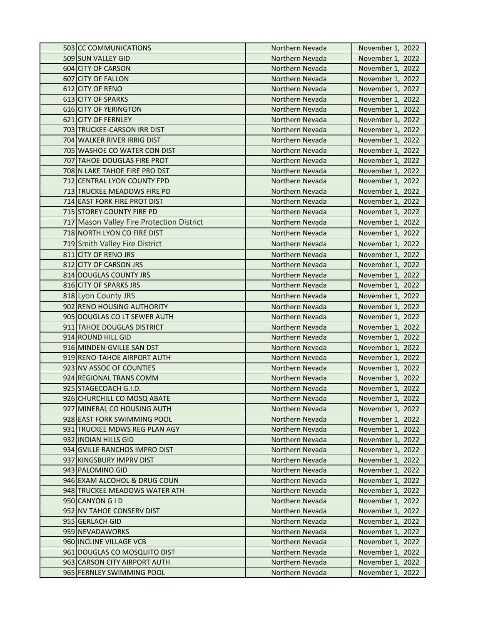| 503 CC COMMUNICATIONS                     | Northern Nevada | November 1, 2022 |
|-------------------------------------------|-----------------|------------------|
| 509 SUN VALLEY GID                        | Northern Nevada | November 1, 2022 |
| 604 CITY OF CARSON                        | Northern Nevada | November 1, 2022 |
| 607 CITY OF FALLON                        | Northern Nevada | November 1, 2022 |
| 612 CITY OF RENO                          | Northern Nevada | November 1, 2022 |
| 613 CITY OF SPARKS                        | Northern Nevada | November 1, 2022 |
| 616 CITY OF YERINGTON                     | Northern Nevada | November 1, 2022 |
| 621 CITY OF FERNLEY                       | Northern Nevada | November 1, 2022 |
| 703 TRUCKEE-CARSON IRR DIST               | Northern Nevada | November 1, 2022 |
| 704 WALKER RIVER IRRIG DIST               | Northern Nevada | November 1, 2022 |
| 705 WASHOE CO WATER CON DIST              | Northern Nevada | November 1, 2022 |
| 707 TAHOE-DOUGLAS FIRE PROT               | Northern Nevada | November 1, 2022 |
| 708 N LAKE TAHOE FIRE PRO DST             | Northern Nevada | November 1, 2022 |
| 712 CENTRAL LYON COUNTY FPD               | Northern Nevada | November 1, 2022 |
| 713 TRUCKEE MEADOWS FIRE PD               | Northern Nevada | November 1, 2022 |
| 714 EAST FORK FIRE PROT DIST              | Northern Nevada | November 1, 2022 |
| 715 STOREY COUNTY FIRE PD                 | Northern Nevada | November 1, 2022 |
| 717 Mason Valley Fire Protection District | Northern Nevada | November 1, 2022 |
| 718 NORTH LYON CO FIRE DIST               | Northern Nevada | November 1, 2022 |
| 719 Smith Valley Fire District            | Northern Nevada | November 1, 2022 |
| 811 CITY OF RENO JRS                      | Northern Nevada | November 1, 2022 |
| 812 CITY OF CARSON JRS                    | Northern Nevada | November 1, 2022 |
| 814 DOUGLAS COUNTY JRS                    | Northern Nevada | November 1, 2022 |
| 816 CITY OF SPARKS JRS                    | Northern Nevada | November 1, 2022 |
| 818 Lyon County JRS                       | Northern Nevada | November 1, 2022 |
| 902 RENO HOUSING AUTHORITY                | Northern Nevada | November 1, 2022 |
| 905 DOUGLAS CO LT SEWER AUTH              | Northern Nevada | November 1, 2022 |
| 911 TAHOE DOUGLAS DISTRICT                | Northern Nevada | November 1, 2022 |
| 914 ROUND HILL GID                        | Northern Nevada | November 1, 2022 |
| 916 MINDEN-GVILLE SAN DST                 | Northern Nevada | November 1, 2022 |
| 919 RENO-TAHOE AIRPORT AUTH               | Northern Nevada | November 1, 2022 |
| 923 NV ASSOC OF COUNTIES                  | Northern Nevada | November 1, 2022 |
| 924 REGIONAL TRANS COMM                   | Northern Nevada | November 1, 2022 |
| 925 STAGECOACH G.I.D.                     | Northern Nevada | November 1, 2022 |
| 926 CHURCHILL CO MOSQ ABATE               | Northern Nevada | November 1, 2022 |
| 927 MINERAL CO HOUSING AUTH               | Northern Nevada | November 1, 2022 |
| 928 EAST FORK SWIMMING POOL               | Northern Nevada | November 1, 2022 |
| 931 TRUCKEE MDWS REG PLAN AGY             | Northern Nevada | November 1, 2022 |
| 932 INDIAN HILLS GID                      | Northern Nevada | November 1, 2022 |
| 934 GVILLE RANCHOS IMPRO DIST             | Northern Nevada | November 1, 2022 |
| 937 KINGSBURY IMPRV DIST                  | Northern Nevada | November 1, 2022 |
| 943 PALOMINO GID                          | Northern Nevada | November 1, 2022 |
| 946 EXAM ALCOHOL & DRUG COUN              | Northern Nevada | November 1, 2022 |
| 948 TRUCKEE MEADOWS WATER ATH             | Northern Nevada | November 1, 2022 |
| 950 CANYON G I D                          | Northern Nevada | November 1, 2022 |
| 952 NV TAHOE CONSERV DIST                 | Northern Nevada | November 1, 2022 |
| 955 GERLACH GID                           | Northern Nevada | November 1, 2022 |
| 959 NEVADAWORKS                           | Northern Nevada | November 1, 2022 |
| 960 INCLINE VILLAGE VCB                   | Northern Nevada | November 1, 2022 |
| 961 DOUGLAS CO MOSQUITO DIST              | Northern Nevada | November 1, 2022 |
| 963 CARSON CITY AIRPORT AUTH              | Northern Nevada | November 1, 2022 |
| 965 FERNLEY SWIMMING POOL                 | Northern Nevada | November 1, 2022 |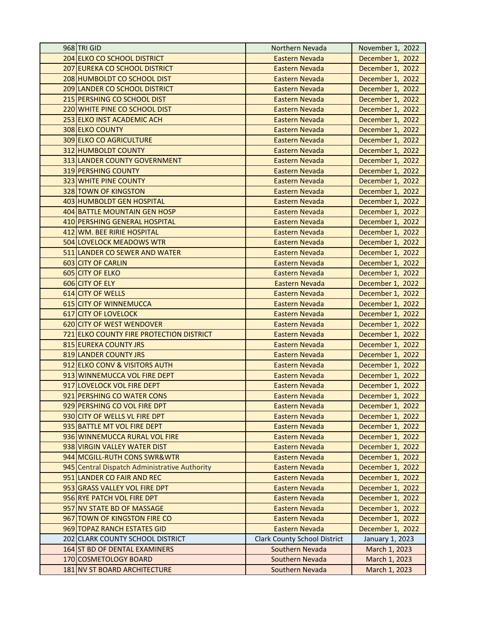| 968 TRI GID                                   | Northern Nevada                     | November 1, 2022 |
|-----------------------------------------------|-------------------------------------|------------------|
| 204 ELKO CO SCHOOL DISTRICT                   | Eastern Nevada                      | December 1, 2022 |
| 207 EUREKA CO SCHOOL DISTRICT                 | <b>Eastern Nevada</b>               | December 1, 2022 |
| 208 HUMBOLDT CO SCHOOL DIST                   | <b>Eastern Nevada</b>               | December 1, 2022 |
| 209 LANDER CO SCHOOL DISTRICT                 | <b>Eastern Nevada</b>               | December 1, 2022 |
| 215 PERSHING CO SCHOOL DIST                   | <b>Eastern Nevada</b>               | December 1, 2022 |
| 220 WHITE PINE CO SCHOOL DIST                 | <b>Eastern Nevada</b>               | December 1, 2022 |
| 253 ELKO INST ACADEMIC ACH                    | <b>Eastern Nevada</b>               | December 1, 2022 |
| 308 ELKO COUNTY                               | <b>Eastern Nevada</b>               | December 1, 2022 |
| <b>309 ELKO CO AGRICULTURE</b>                | <b>Eastern Nevada</b>               | December 1, 2022 |
| 312 HUMBOLDT COUNTY                           | <b>Eastern Nevada</b>               | December 1, 2022 |
| 313 LANDER COUNTY GOVERNMENT                  | <b>Eastern Nevada</b>               | December 1, 2022 |
| 319 PERSHING COUNTY                           | <b>Eastern Nevada</b>               | December 1, 2022 |
| <b>323 WHITE PINE COUNTY</b>                  | <b>Eastern Nevada</b>               | December 1, 2022 |
| 328 TOWN OF KINGSTON                          | <b>Eastern Nevada</b>               | December 1, 2022 |
| 403 HUMBOLDT GEN HOSPITAL                     | <b>Eastern Nevada</b>               | December 1, 2022 |
| 404 BATTLE MOUNTAIN GEN HOSP                  | <b>Eastern Nevada</b>               | December 1, 2022 |
| 410 PERSHING GENERAL HOSPITAL                 | <b>Eastern Nevada</b>               | December 1, 2022 |
| 412 WM. BEE RIRIE HOSPITAL                    | <b>Eastern Nevada</b>               | December 1, 2022 |
| 504 LOVELOCK MEADOWS WTR                      | <b>Eastern Nevada</b>               | December 1, 2022 |
| 511 LANDER CO SEWER AND WATER                 | <b>Eastern Nevada</b>               | December 1, 2022 |
| 603 CITY OF CARLIN                            | <b>Eastern Nevada</b>               | December 1, 2022 |
| 605 CITY OF ELKO                              | <b>Eastern Nevada</b>               | December 1, 2022 |
| 606 CITY OF ELY                               | <b>Eastern Nevada</b>               | December 1, 2022 |
| 614 CITY OF WELLS                             | <b>Eastern Nevada</b>               | December 1, 2022 |
| 615 CITY OF WINNEMUCCA                        | <b>Eastern Nevada</b>               | December 1, 2022 |
| 617 CITY OF LOVELOCK                          | <b>Eastern Nevada</b>               | December 1, 2022 |
| 620 CITY OF WEST WENDOVER                     | Eastern Nevada                      | December 1, 2022 |
| 721 ELKO COUNTY FIRE PROTECTION DISTRICT      | <b>Eastern Nevada</b>               | December 1, 2022 |
| 815 EUREKA COUNTY JRS                         | <b>Eastern Nevada</b>               | December 1, 2022 |
| 819 LANDER COUNTY JRS                         | <b>Eastern Nevada</b>               | December 1, 2022 |
| 912 ELKO CONV & VISITORS AUTH                 | <b>Eastern Nevada</b>               | December 1, 2022 |
| 913 WINNEMUCCA VOL FIRE DEPT                  | Eastern Nevada                      | December 1, 2022 |
| 917 LOVELOCK VOL FIRE DEPT                    | <b>Eastern Nevada</b>               | December 1, 2022 |
| 921 PERSHING CO WATER CONS                    | Eastern Nevada                      | December 1, 2022 |
| 929 PERSHING CO VOL FIRE DPT                  | <b>Eastern Nevada</b>               | December 1, 2022 |
| 930 CITY OF WELLS VL FIRE DPT                 | <b>Eastern Nevada</b>               | December 1, 2022 |
| 935 BATTLE MT VOL FIRE DEPT                   | Eastern Nevada                      | December 1, 2022 |
| 936 WINNEMUCCA RURAL VOL FIRE                 | <b>Eastern Nevada</b>               | December 1, 2022 |
| 938 VIRGIN VALLEY WATER DIST                  | Eastern Nevada                      | December 1, 2022 |
| 944 MCGILL-RUTH CONS SWR&WTR                  | <b>Eastern Nevada</b>               | December 1, 2022 |
| 945 Central Dispatch Administrative Authority | <b>Eastern Nevada</b>               | December 1, 2022 |
| 951 LANDER CO FAIR AND REC                    | Eastern Nevada                      | December 1, 2022 |
| 953 GRASS VALLEY VOL FIRE DPT                 | <b>Eastern Nevada</b>               | December 1, 2022 |
| 956 RYE PATCH VOL FIRE DPT                    | <b>Eastern Nevada</b>               | December 1, 2022 |
| 957 NV STATE BD OF MASSAGE                    | <b>Eastern Nevada</b>               | December 1, 2022 |
| 967 TOWN OF KINGSTON FIRE CO                  | <b>Eastern Nevada</b>               | December 1, 2022 |
| 969 TOPAZ RANCH ESTATES GID                   | Eastern Nevada                      | December 1, 2022 |
| 202 CLARK COUNTY SCHOOL DISTRICT              | <b>Clark County School District</b> | January 1, 2023  |
| 164 ST BD OF DENTAL EXAMINERS                 | Southern Nevada                     | March 1, 2023    |
| 170 COSMETOLOGY BOARD                         | Southern Nevada                     | March 1, 2023    |
| 181 NV ST BOARD ARCHITECTURE                  | Southern Nevada                     | March 1, 2023    |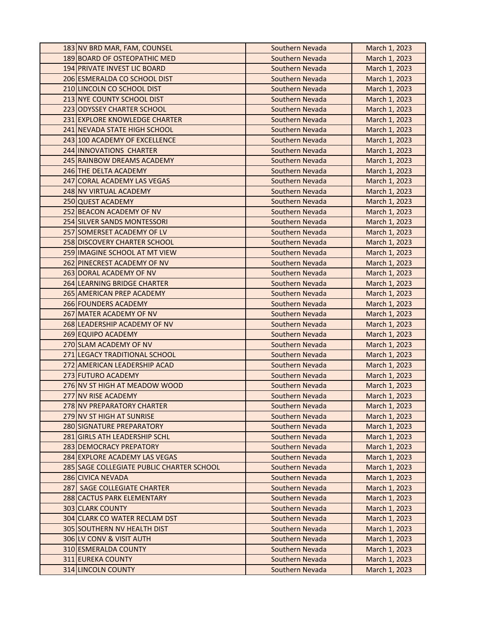| 183 NV BRD MAR, FAM, COUNSEL              | Southern Nevada | March 1, 2023 |
|-------------------------------------------|-----------------|---------------|
| 189 BOARD OF OSTEOPATHIC MED              | Southern Nevada | March 1, 2023 |
| 194 PRIVATE INVEST LIC BOARD              | Southern Nevada | March 1, 2023 |
| 206 ESMERALDA CO SCHOOL DIST              | Southern Nevada | March 1, 2023 |
| 210 LINCOLN CO SCHOOL DIST                | Southern Nevada | March 1, 2023 |
| 213 NYE COUNTY SCHOOL DIST                | Southern Nevada | March 1, 2023 |
| 223 ODYSSEY CHARTER SCHOOL                | Southern Nevada | March 1, 2023 |
| 231 EXPLORE KNOWLEDGE CHARTER             | Southern Nevada | March 1, 2023 |
| 241 NEVADA STATE HIGH SCHOOL              | Southern Nevada | March 1, 2023 |
| 243 100 ACADEMY OF EXCELLENCE             | Southern Nevada | March 1, 2023 |
| 244 INNOVATIONS CHARTER                   | Southern Nevada | March 1, 2023 |
| 245 RAINBOW DREAMS ACADEMY                | Southern Nevada | March 1, 2023 |
| 246 THE DELTA ACADEMY                     | Southern Nevada | March 1, 2023 |
| 247 CORAL ACADEMY LAS VEGAS               | Southern Nevada | March 1, 2023 |
| 248 NV VIRTUAL ACADEMY                    | Southern Nevada | March 1, 2023 |
| 250 QUEST ACADEMY                         | Southern Nevada | March 1, 2023 |
| 252 BEACON ACADEMY OF NV                  | Southern Nevada | March 1, 2023 |
| 254 SILVER SANDS MONTESSORI               | Southern Nevada | March 1, 2023 |
| 257 SOMERSET ACADEMY OF LV                | Southern Nevada | March 1, 2023 |
| 258 DISCOVERY CHARTER SCHOOL              | Southern Nevada | March 1, 2023 |
| 259 IMAGINE SCHOOL AT MT VIEW             | Southern Nevada | March 1, 2023 |
| 262 PINECREST ACADEMY OF NV               | Southern Nevada | March 1, 2023 |
| 263 DORAL ACADEMY OF NV                   | Southern Nevada | March 1, 2023 |
| 264 LEARNING BRIDGE CHARTER               | Southern Nevada | March 1, 2023 |
| 265 AMERICAN PREP ACADEMY                 | Southern Nevada | March 1, 2023 |
| 266 FOUNDERS ACADEMY                      | Southern Nevada | March 1, 2023 |
| 267 MATER ACADEMY OF NV                   | Southern Nevada | March 1, 2023 |
| 268 LEADERSHIP ACADEMY OF NV              | Southern Nevada | March 1, 2023 |
| 269 EQUIPO ACADEMY                        | Southern Nevada | March 1, 2023 |
| 270 SLAM ACADEMY OF NV                    | Southern Nevada | March 1, 2023 |
| 271 LEGACY TRADITIONAL SCHOOL             | Southern Nevada | March 1, 2023 |
| 272 AMERICAN LEADERSHIP ACAD              | Southern Nevada | March 1, 2023 |
| 273 FUTURO ACADEMY                        | Southern Nevada | March 1, 2023 |
| 276 NV ST HIGH AT MEADOW WOOD             | Southern Nevada | March 1, 2023 |
| 277 NV RISE ACADEMY                       | Southern Nevada | March 1, 2023 |
| 278 NV PREPARATORY CHARTER                | Southern Nevada | March 1, 2023 |
| 279 NV ST HIGH AT SUNRISE                 | Southern Nevada | March 1, 2023 |
| 280 SIGNATURE PREPARATORY                 | Southern Nevada | March 1, 2023 |
| 281 GIRLS ATH LEADERSHIP SCHL             | Southern Nevada | March 1, 2023 |
| 283 DEMOCRACY PREPATORY                   | Southern Nevada | March 1, 2023 |
| 284 EXPLORE ACADEMY LAS VEGAS             | Southern Nevada | March 1, 2023 |
| 285 SAGE COLLEGIATE PUBLIC CHARTER SCHOOL | Southern Nevada | March 1, 2023 |
| 286 CIVICA NEVADA                         | Southern Nevada | March 1, 2023 |
| 287 SAGE COLLEGIATE CHARTER               | Southern Nevada | March 1, 2023 |
| 288 CACTUS PARK ELEMENTARY                | Southern Nevada | March 1, 2023 |
| 303 CLARK COUNTY                          | Southern Nevada | March 1, 2023 |
| 304 CLARK CO WATER RECLAM DST             | Southern Nevada | March 1, 2023 |
| 305 SOUTHERN NV HEALTH DIST               | Southern Nevada | March 1, 2023 |
| 306 LV CONV & VISIT AUTH                  | Southern Nevada | March 1, 2023 |
| 310 ESMERALDA COUNTY                      | Southern Nevada | March 1, 2023 |
| <b>311 EUREKA COUNTY</b>                  | Southern Nevada | March 1, 2023 |
| 314 LINCOLN COUNTY                        | Southern Nevada | March 1, 2023 |